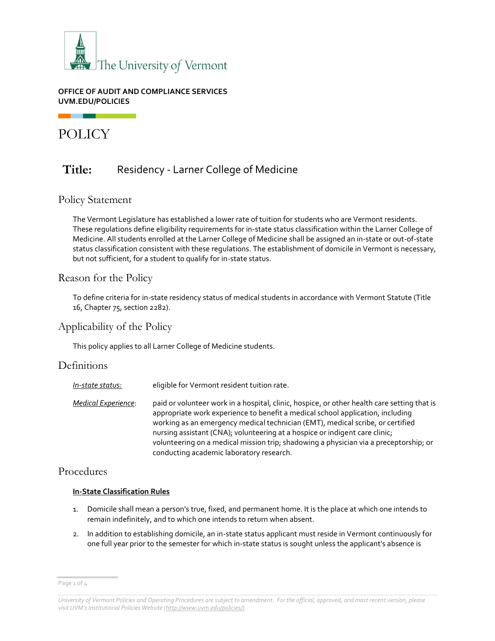

#### **OFFICE OF AUDIT AND COMPLIANCE SERVICES UVM.EDU/POLICIES**

POLICY

# **Title:** Residency - Larner College of Medicine

## Policy Statement

The Vermont Legislature has established a lower rate of tuition for students who are Vermont residents. These regulations define eligibility requirements for in-state status classification within the Larner College of Medicine. All students enrolled at the Larner College of Medicine shall be assigned an in-state or out-of-state status classification consistent with these regulations. The establishment of domicile in Vermont is necessary, but not sufficient, for a student to qualify for in-state status.

## Reason for the Policy

To define criteria for in-state residency status of medical students in accordance with Vermont Statute (Title 16, Chapter 75, section 2282).

# Applicability of the Policy

This policy applies to all Larner College of Medicine students.

# **Definitions**

| In-state status:    | eligible for Vermont resident tuition rate.                                                                                                                                                                                                                                                                                                                                                                                                                                         |
|---------------------|-------------------------------------------------------------------------------------------------------------------------------------------------------------------------------------------------------------------------------------------------------------------------------------------------------------------------------------------------------------------------------------------------------------------------------------------------------------------------------------|
| Medical Experience: | paid or volunteer work in a hospital, clinic, hospice, or other health care setting that is<br>appropriate work experience to benefit a medical school application, including<br>working as an emergency medical technician (EMT), medical scribe, or certified<br>nursing assistant (CNA); volunteering at a hospice or indigent care clinic;<br>volunteering on a medical mission trip; shadowing a physician via a preceptorship; or<br>conducting academic laboratory research. |

## Procedures

#### **In-State Classification Rules**

- 1. Domicile shall mean a person's true, fixed, and permanent home. It is the place at which one intends to remain indefinitely, and to which one intends to return when absent.
- 2. In addition to establishing domicile, an in-state status applicant must reside in Vermont continuously for one full year prior to the semester for which in-state status is sought unless the applicant's absence is

Page 1 of 4

*University of Vermont Policies and Operating Procedures are subject to amendment. For the official, approved, and most recent version, please visit UVM's Institutional Policies Website ([http://www.uvm.edu/policies/\).](http://www.uvm.edu/policies/)*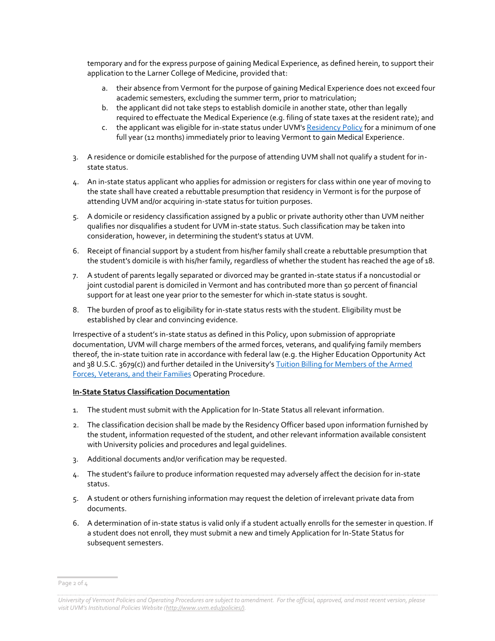temporary and for the express purpose of gaining Medical Experience, as defined herein, to support their application to the Larner College of Medicine, provided that:

- a. their absence from Vermont for the purpose of gaining Medical Experience does not exceed four academic semesters, excluding the summer term, prior to matriculation;
- b. the applicant did not take steps to establish domicile in another state, other than legally required to effectuate the Medical Experience (e.g. filing of state taxes at the resident rate); and
- c. the applicant was eligible for in-state status under UVM's [Residency](https://www.uvm.edu/sites/default/files/UVM-Policies/policies/resregs.pdf) Policy for a minimum of one full year (12 months) immediately prior to leaving Vermont to gain Medical Experience.
- 3. A residence or domicile established for the purpose of attending UVM shall not qualify a student for instate status.
- 4. An in-state status applicant who applies for admission or registers for class within one year of moving to the state shall have created a rebuttable presumption that residency in Vermont is for the purpose of attending UVM and/or acquiring in-state status for tuition purposes.
- 5. A domicile or residency classification assigned by a public or private authority other than UVM neither qualifies nor disqualifies a student for UVM in-state status. Such classification may be taken into consideration, however, in determining the student's status at UVM.
- 6. Receipt of financial support by a student from his/her family shall create a rebuttable presumption that the student's domicile is with his/her family, regardless of whether the student has reached the age of 18.
- 7. A student of parents legally separated or divorced may be granted in-state status if a noncustodial or joint custodial parent is domiciled in Vermont and has contributed more than 50 percent of financial support for at least one year prior to the semester for which in-state status is sought.
- 8. The burden of proof as to eligibility for in-state status rests with the student. Eligibility must be established by clear and convincing evidence.

Irrespective of a student's in-state status as defined in this Policy, upon submission of appropriate documentation, UVM will charge members of the armed forces, veterans, and qualifying family members thereof, the in-state tuition rate in accordance with federal law (e.g. the Higher Education Opportunity Act and 38 U.S.C. 3679(c)) and further detailed in the University's [Tuition Billing for Members of the Armed](https://www.uvm.edu/sites/default/files/UVM-Policies/policies/armedforcesbilling.pdf)  [Forces, Veterans, and their Families](https://www.uvm.edu/sites/default/files/UVM-Policies/policies/armedforcesbilling.pdf) Operating Procedure.

#### **In-State Status Classification Documentation**

- 1. The student must submit with the Application for In-State Status all relevant information.
- 2. The classification decision shall be made by the Residency Officer based upon information furnished by the student, information requested of the student, and other relevant information available consistent with University policies and procedures and legal guidelines.
- 3. Additional documents and/or verification may be requested.
- 4. The student's failure to produce information requested may adversely affect the decision for in-state status.
- 5. A student or others furnishing information may request the deletion of irrelevant private data from documents.
- 6. A determination of in-state status is valid only if a student actually enrolls for the semester in question. If a student does not enroll, they must submit a new and timely Application for In-State Status for subsequent semesters.

Page 2 of 4

*University of Vermont Policies and Operating Procedures are subject to amendment. For the official, approved, and most recent version, please visit UVM's Institutional Policies Website ([http://www.uvm.edu/policies/\).](http://www.uvm.edu/policies/)*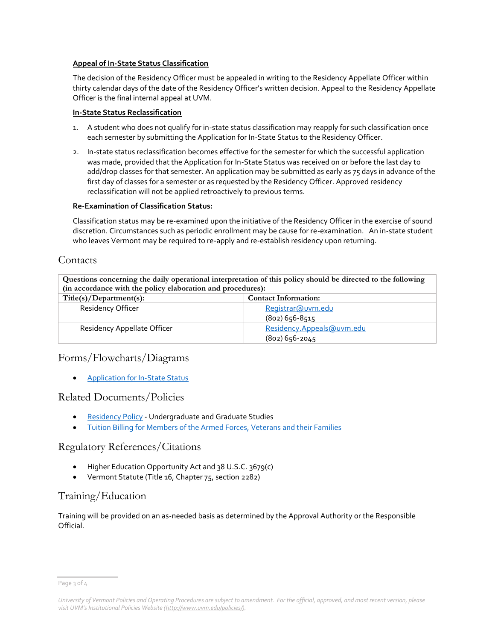#### **Appeal of In-State Status Classification**

The decision of the Residency Officer must be appealed in writing to the Residency Appellate Officer within thirty calendar days of the date of the Residency Officer's written decision. Appeal to the Residency Appellate Officer is the final internal appeal at UVM.

#### **In-State Status Reclassification**

- 1. A student who does not qualify for in-state status classification may reapply for such classification once each semester by submitting the Application for In-State Status to the Residency Officer.
- 2. In-state status reclassification becomes effective for the semester for which the successful application was made, provided that the Application for In-State Status was received on or before the last day to add/drop classes for that semester. An application may be submitted as early as 75 days in advance of the first day of classes for a semester or as requested by the Residency Officer. Approved residency reclassification will not be applied retroactively to previous terms.

#### **Re-Examination of Classification Status:**

Classification status may be re-examined upon the initiative of the Residency Officer in the exercise of sound discretion. Circumstances such as periodic enrollment may be cause for re-examination. An in-state student who leaves Vermont may be required to re-apply and re-establish residency upon returning.

## **Contacts**

**Questions concerning the daily operational interpretation of this policy should be directed to the following (in accordance with the policy elaboration and procedures):**

| Title(s)/Department(s):     | <b>Contact Information:</b> |  |
|-----------------------------|-----------------------------|--|
| Residency Officer           | Registrar@uvm.edu           |  |
|                             | $(802)$ 656-8515            |  |
| Residency Appellate Officer | Residency.Appeals@uvm.edu   |  |
|                             | $(802)$ 656-2045            |  |

# Forms/Flowcharts/Diagrams

Application [for In-State Status](https://www.uvm.edu/registrar/residency-policy)

## Related Documents/Policies

- [Residency Policy](https://www.uvm.edu/sites/default/files/UVM-Policies/policies/resregs.pdf) Undergraduate and Graduate Studies
- [Tuition Billing for Members of the Armed Forces, Veterans and their Families](https://www.uvm.edu/sites/default/files/UVM-Policies/policies/armedforcesbilling.pdf)

## Regulatory References/Citations

- Higher Education Opportunity Act and 38 U.S.C. 3679(c)
- Vermont Statute (Title 16, Chapter 75, section 2282)

# Training/Education

Training will be provided on an as-needed basis as determined by the Approval Authority or the Responsible Official.

Page 3 of 4

*University of Vermont Policies and Operating Procedures are subject to amendment. For the official, approved, and most recent version, please visit UVM's Institutional Policies Website ([http://www.uvm.edu/policies/\).](http://www.uvm.edu/policies/)*